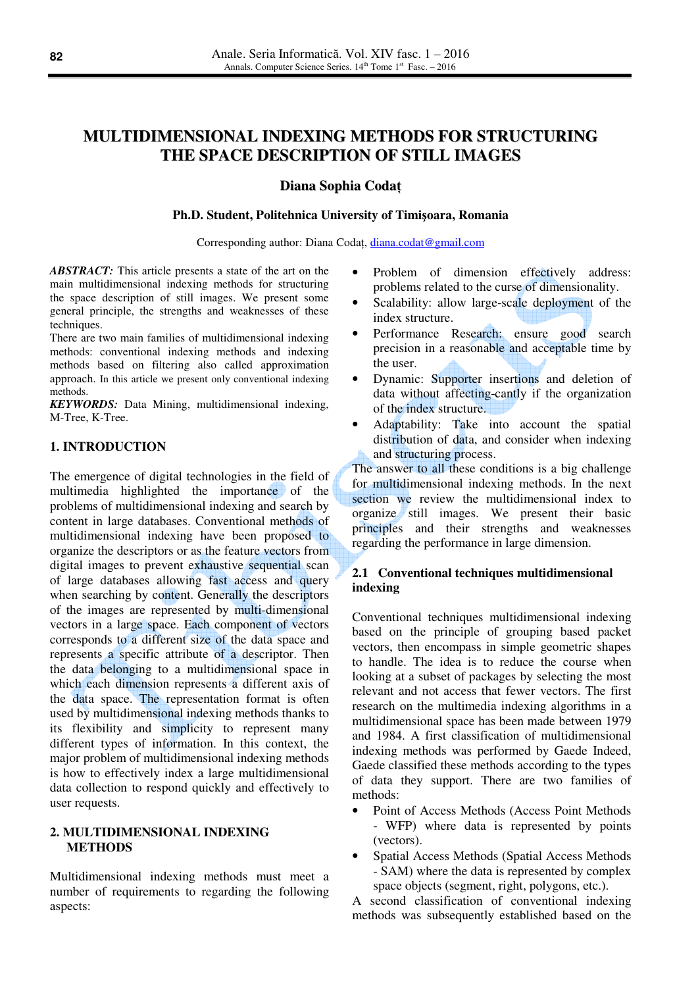# **MULTIDIMENSIONAL INDEXING METHODS FOR STRUCTURING THE SPACE DESCRIPTION OF STILL IMAGES**

## **Diana Sophia Coda**ţ

#### **Ph.D. Student, Politehnica University of Timi**ş**oara, Romania**

Corresponding author: Diana Codaţ, diana.codat@gmail.com

*ABSTRACT:* This article presents a state of the art on the main multidimensional indexing methods for structuring the space description of still images. We present some general principle, the strengths and weaknesses of these techniques.

There are two main families of multidimensional indexing methods: conventional indexing methods and indexing methods based on filtering also called approximation approach. In this article we present only conventional indexing methods.

*KEYWORDS:* Data Mining, multidimensional indexing, M-Tree, K-Tree.

# **1. INTRODUCTION**

The emergence of digital technologies in the field of multimedia highlighted the importance of the problems of multidimensional indexing and search by content in large databases. Conventional methods of multidimensional indexing have been proposed to organize the descriptors or as the feature vectors from digital images to prevent exhaustive sequential scan of large databases allowing fast access and query when searching by content. Generally the descriptors of the images are represented by multi-dimensional vectors in a large space. Each component of vectors corresponds to a different size of the data space and represents a specific attribute of a descriptor. Then the data belonging to a multidimensional space in which each dimension represents a different axis of the data space. The representation format is often used by multidimensional indexing methods thanks to its flexibility and simplicity to represent many different types of information. In this context, the major problem of multidimensional indexing methods is how to effectively index a large multidimensional data collection to respond quickly and effectively to user requests.

## **2. MULTIDIMENSIONAL INDEXING METHODS**

Multidimensional indexing methods must meet a number of requirements to regarding the following aspects:

- Problem of dimension effectively address: problems related to the curse of dimensionality.
- Scalability: allow large-scale deployment of the index structure.
- Performance Research: ensure good search precision in a reasonable and acceptable time by the user.
- Dynamic: Supporter insertions and deletion of data without affecting-cantly if the organization of the index structure.
- Adaptability: Take into account the spatial distribution of data, and consider when indexing and structuring process.

The answer to all these conditions is a big challenge for multidimensional indexing methods. In the next section we review the multidimensional index to organize still images. We present their basic principles and their strengths and weaknesses regarding the performance in large dimension.

# **2.1 Conventional techniques multidimensional indexing**

Conventional techniques multidimensional indexing based on the principle of grouping based packet vectors, then encompass in simple geometric shapes to handle. The idea is to reduce the course when looking at a subset of packages by selecting the most relevant and not access that fewer vectors. The first research on the multimedia indexing algorithms in a multidimensional space has been made between 1979 and 1984. A first classification of multidimensional indexing methods was performed by Gaede Indeed, Gaede classified these methods according to the types of data they support. There are two families of methods:

- Point of Access Methods (Access Point Methods - WFP) where data is represented by points (vectors).
- Spatial Access Methods (Spatial Access Methods - SAM) where the data is represented by complex space objects (segment, right, polygons, etc.).

A second classification of conventional indexing methods was subsequently established based on the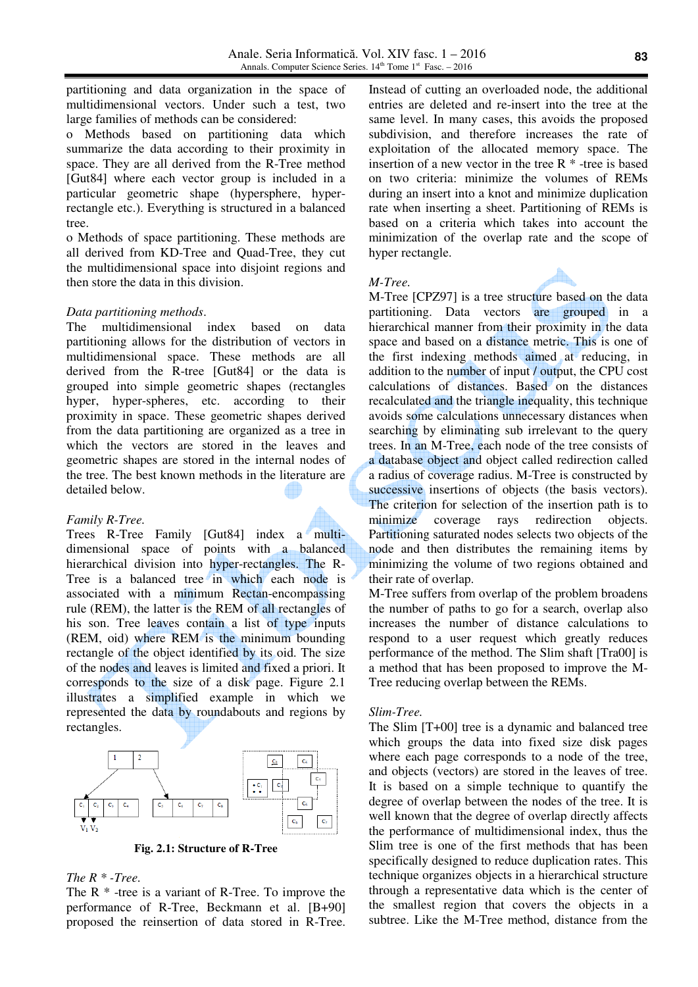partitioning and data organization in the space of multidimensional vectors. Under such a test, two large families of methods can be considered:

o Methods based on partitioning data which summarize the data according to their proximity in space. They are all derived from the R-Tree method [Gut84] where each vector group is included in a particular geometric shape (hypersphere, hyperrectangle etc.). Everything is structured in a balanced tree.

o Methods of space partitioning. These methods are all derived from KD-Tree and Quad-Tree, they cut the multidimensional space into disjoint regions and then store the data in this division.

#### *Data partitioning methods*.

The multidimensional index based on data partitioning allows for the distribution of vectors in multidimensional space. These methods are all derived from the R-tree [Gut84] or the data is grouped into simple geometric shapes (rectangles hyper, hyper-spheres, etc. according to their proximity in space. These geometric shapes derived from the data partitioning are organized as a tree in which the vectors are stored in the leaves and geometric shapes are stored in the internal nodes of the tree. The best known methods in the literature are detailed below.

#### *Family R-Tree.*

Trees R-Tree Family [Gut84] index a multidimensional space of points with a balanced hierarchical division into hyper-rectangles. The R-Tree is a balanced tree in which each node is associated with a minimum Rectan-encompassing rule (REM), the latter is the REM of all rectangles of his son. Tree leaves contain a list of type inputs (REM, oid) where REM is the minimum bounding rectangle of the object identified by its oid. The size of the nodes and leaves is limited and fixed a priori. It corresponds to the size of a disk page. Figure 2.1 illustrates a simplified example in which we represented the data by roundabouts and regions by rectangles.



**Fig. 2.1: Structure of R-Tree**

# *The R \* -Tree.*

The  $R^*$  -tree is a variant of R-Tree. To improve the performance of R-Tree, Beckmann et al. [B+90] proposed the reinsertion of data stored in R-Tree. Instead of cutting an overloaded node, the additional entries are deleted and re-insert into the tree at the same level. In many cases, this avoids the proposed subdivision, and therefore increases the rate of exploitation of the allocated memory space. The insertion of a new vector in the tree  $R^*$  -tree is based on two criteria: minimize the volumes of REMs during an insert into a knot and minimize duplication rate when inserting a sheet. Partitioning of REMs is based on a criteria which takes into account the minimization of the overlap rate and the scope of hyper rectangle.

#### *M-Tree.*

M-Tree [CPZ97] is a tree structure based on the data partitioning. Data vectors are grouped in a hierarchical manner from their proximity in the data space and based on a distance metric. This is one of the first indexing methods aimed at reducing, in addition to the number of input / output, the CPU cost calculations of distances. Based on the distances recalculated and the triangle inequality, this technique avoids some calculations unnecessary distances when searching by eliminating sub irrelevant to the query trees. In an M-Tree, each node of the tree consists of a database object and object called redirection called a radius of coverage radius. M-Tree is constructed by successive insertions of objects (the basis vectors). The criterion for selection of the insertion path is to minimize coverage rays redirection objects. Partitioning saturated nodes selects two objects of the node and then distributes the remaining items by minimizing the volume of two regions obtained and their rate of overlap.

M-Tree suffers from overlap of the problem broadens the number of paths to go for a search, overlap also increases the number of distance calculations to respond to a user request which greatly reduces performance of the method. The Slim shaft [Tra00] is a method that has been proposed to improve the M-Tree reducing overlap between the REMs.

#### *Slim-Tree.*

The Slim [T+00] tree is a dynamic and balanced tree which groups the data into fixed size disk pages where each page corresponds to a node of the tree, and objects (vectors) are stored in the leaves of tree. It is based on a simple technique to quantify the degree of overlap between the nodes of the tree. It is well known that the degree of overlap directly affects the performance of multidimensional index, thus the Slim tree is one of the first methods that has been specifically designed to reduce duplication rates. This technique organizes objects in a hierarchical structure through a representative data which is the center of the smallest region that covers the objects in a subtree. Like the M-Tree method, distance from the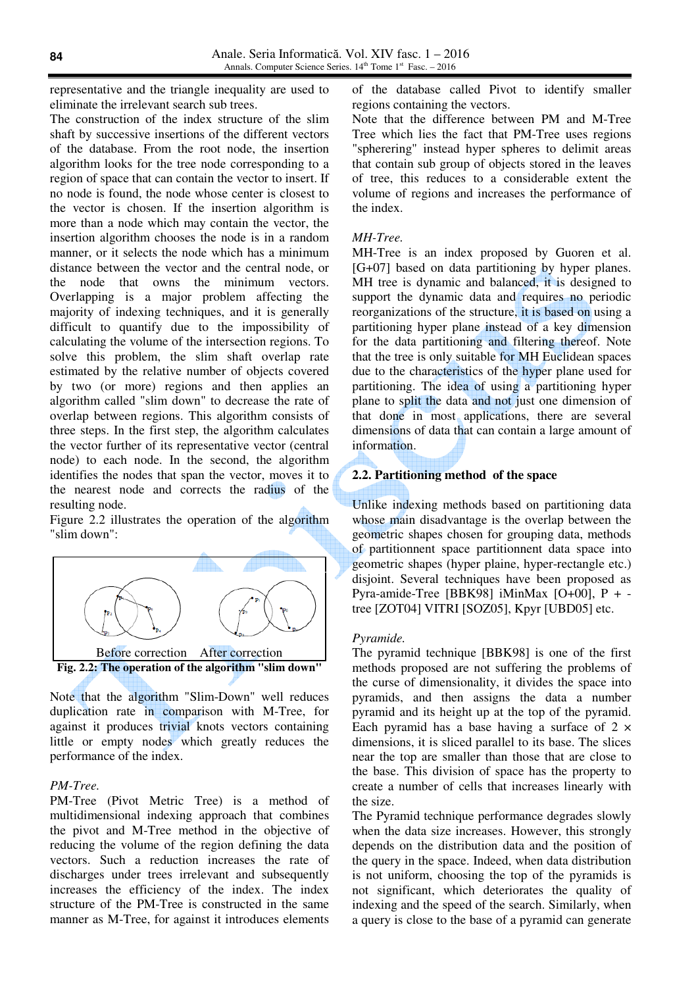representative and the triangle inequality are used to eliminate the irrelevant search sub trees.

The construction of the index structure of the slim shaft by successive insertions of the different vectors of the database. From the root node, the insertion algorithm looks for the tree node corresponding to a region of space that can contain the vector to insert. If no node is found, the node whose center is closest to the vector is chosen. If the insertion algorithm is more than a node which may contain the vector, the insertion algorithm chooses the node is in a random manner, or it selects the node which has a minimum distance between the vector and the central node, or the node that owns the minimum vectors. Overlapping is a major problem affecting the majority of indexing techniques, and it is generally difficult to quantify due to the impossibility of calculating the volume of the intersection regions. To solve this problem, the slim shaft overlap rate estimated by the relative number of objects covered by two (or more) regions and then applies an algorithm called "slim down" to decrease the rate of overlap between regions. This algorithm consists of three steps. In the first step, the algorithm calculates the vector further of its representative vector (central node) to each node. In the second, the algorithm identifies the nodes that span the vector, moves it to the nearest node and corrects the radius of the resulting node.

Figure 2.2 illustrates the operation of the algorithm "slim down":



Note that the algorithm "Slim-Down" well reduces duplication rate in comparison with M-Tree, for against it produces trivial knots vectors containing little or empty nodes which greatly reduces the performance of the index.

#### *PM-Tree.*

PM-Tree (Pivot Metric Tree) is a method of multidimensional indexing approach that combines the pivot and M-Tree method in the objective of reducing the volume of the region defining the data vectors. Such a reduction increases the rate of discharges under trees irrelevant and subsequently increases the efficiency of the index. The index structure of the PM-Tree is constructed in the same manner as M-Tree, for against it introduces elements of the database called Pivot to identify smaller regions containing the vectors.

Note that the difference between PM and M-Tree Tree which lies the fact that PM-Tree uses regions "spherering" instead hyper spheres to delimit areas that contain sub group of objects stored in the leaves of tree, this reduces to a considerable extent the volume of regions and increases the performance of the index.

#### *MH-Tree.*

MH-Tree is an index proposed by Guoren et al. [G+07] based on data partitioning by hyper planes. MH tree is dynamic and balanced, it is designed to support the dynamic data and requires no periodic reorganizations of the structure, it is based on using a partitioning hyper plane instead of a key dimension for the data partitioning and filtering thereof. Note that the tree is only suitable for MH Euclidean spaces due to the characteristics of the hyper plane used for partitioning. The idea of using a partitioning hyper plane to split the data and not just one dimension of that done in most applications, there are several dimensions of data that can contain a large amount of information.

### **2.2. Partitioning method of the space**

Unlike indexing methods based on partitioning data whose main disadvantage is the overlap between the geometric shapes chosen for grouping data, methods of partitionnent space partitionnent data space into geometric shapes (hyper plaine, hyper-rectangle etc.) disjoint. Several techniques have been proposed as Pyra-amide-Tree [BBK98] iMinMax [O+00], P + tree [ZOT04] VITRI [SOZ05], Kpyr [UBD05] etc.

#### *Pyramide.*

The pyramid technique [BBK98] is one of the first methods proposed are not suffering the problems of the curse of dimensionality, it divides the space into pyramids, and then assigns the data a number pyramid and its height up at the top of the pyramid. Each pyramid has a base having a surface of  $2 \times$ dimensions, it is sliced parallel to its base. The slices near the top are smaller than those that are close to the base. This division of space has the property to create a number of cells that increases linearly with the size.

The Pyramid technique performance degrades slowly when the data size increases. However, this strongly depends on the distribution data and the position of the query in the space. Indeed, when data distribution is not uniform, choosing the top of the pyramids is not significant, which deteriorates the quality of indexing and the speed of the search. Similarly, when a query is close to the base of a pyramid can generate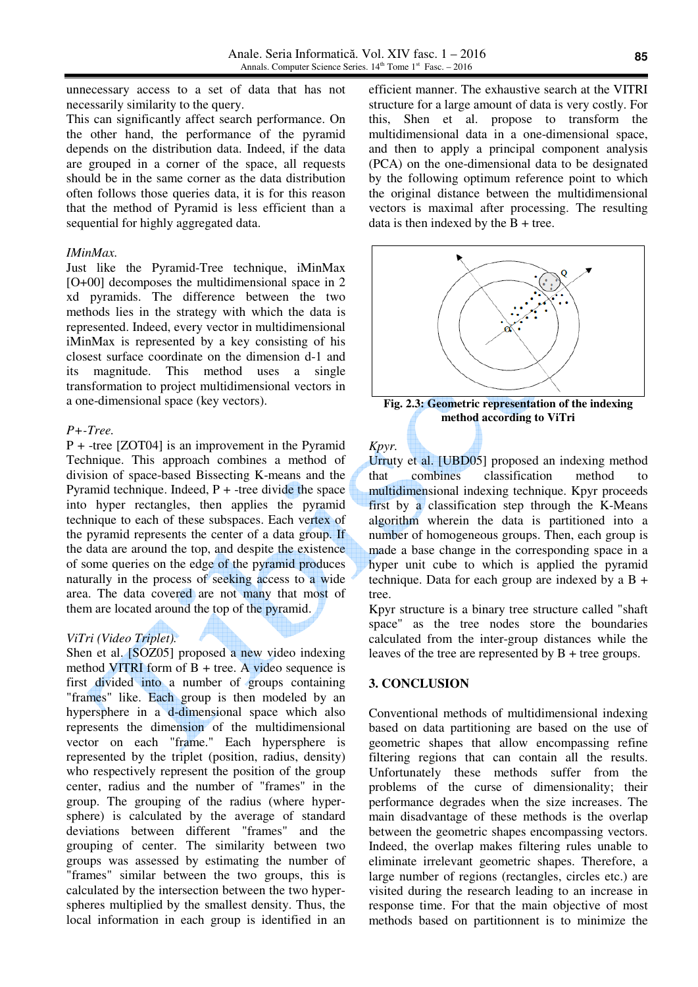unnecessary access to a set of data that has not necessarily similarity to the query.

This can significantly affect search performance. On the other hand, the performance of the pyramid depends on the distribution data. Indeed, if the data are grouped in a corner of the space, all requests should be in the same corner as the data distribution often follows those queries data, it is for this reason that the method of Pyramid is less efficient than a sequential for highly aggregated data.

#### *IMinMax.*

Just like the Pyramid-Tree technique, iMinMax [O+00] decomposes the multidimensional space in 2 xd pyramids. The difference between the two methods lies in the strategy with which the data is represented. Indeed, every vector in multidimensional iMinMax is represented by a key consisting of his closest surface coordinate on the dimension d-1 and its magnitude. This method uses a single transformation to project multidimensional vectors in a one-dimensional space (key vectors).

#### *P+-Tree.*

P + -tree [ZOT04] is an improvement in the Pyramid Technique. This approach combines a method of division of space-based Bissecting K-means and the Pyramid technique. Indeed,  $P +$ -tree divide the space into hyper rectangles, then applies the pyramid technique to each of these subspaces. Each vertex of the pyramid represents the center of a data group. If the data are around the top, and despite the existence of some queries on the edge of the pyramid produces naturally in the process of seeking access to a wide area. The data covered are not many that most of them are located around the top of the pyramid.

### *ViTri (Video Triplet).*

Shen et al. [SOZ05] proposed a new video indexing method VITRI form of  $B + tree$ . A video sequence is first divided into a number of groups containing "frames" like. Each group is then modeled by an hypersphere in a d-dimensional space which also represents the dimension of the multidimensional vector on each "frame." Each hypersphere is represented by the triplet (position, radius, density) who respectively represent the position of the group center, radius and the number of "frames" in the group. The grouping of the radius (where hypersphere) is calculated by the average of standard deviations between different "frames" and the grouping of center. The similarity between two groups was assessed by estimating the number of "frames" similar between the two groups, this is calculated by the intersection between the two hyperspheres multiplied by the smallest density. Thus, the local information in each group is identified in an

efficient manner. The exhaustive search at the VITRI structure for a large amount of data is very costly. For this, Shen et al. propose to transform the multidimensional data in a one-dimensional space, and then to apply a principal component analysis (PCA) on the one-dimensional data to be designated by the following optimum reference point to which the original distance between the multidimensional vectors is maximal after processing. The resulting data is then indexed by the  $B + tree$ .



**Fig. 2.3: Geometric representation of the indexing method according to ViTri** 

*Kpyr.* Urruty et al. [UBD05] proposed an indexing method that combines classification method to multidimensional indexing technique. Kpyr proceeds first by a classification step through the K-Means algorithm wherein the data is partitioned into a number of homogeneous groups. Then, each group is made a base change in the corresponding space in a hyper unit cube to which is applied the pyramid technique. Data for each group are indexed by a  $B +$ tree.

Kpyr structure is a binary tree structure called "shaft space" as the tree nodes store the boundaries calculated from the inter-group distances while the leaves of the tree are represented by  $B$  + tree groups.

### **3. CONCLUSION**

Conventional methods of multidimensional indexing based on data partitioning are based on the use of geometric shapes that allow encompassing refine filtering regions that can contain all the results. Unfortunately these methods suffer from the problems of the curse of dimensionality; their performance degrades when the size increases. The main disadvantage of these methods is the overlap between the geometric shapes encompassing vectors. Indeed, the overlap makes filtering rules unable to eliminate irrelevant geometric shapes. Therefore, a large number of regions (rectangles, circles etc.) are visited during the research leading to an increase in response time. For that the main objective of most methods based on partitionnent is to minimize the